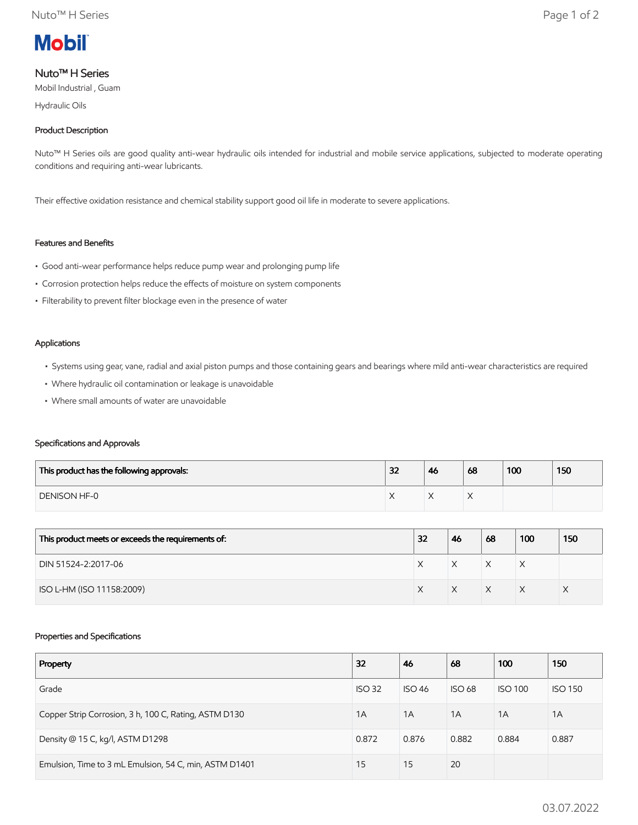

# Nuto™ H Series

Mobil Industrial , Guam

Hydraulic Oils

## Product Description

Nuto<sup>™</sup> H Series oils are good quality anti-wear hydraulic oils intended for industrial and mobile service applications, subjected to moderate operating conditions and requiring anti-wear lubricants.

Their effective oxidation resistance and chemical stability support good oil life in moderate to severe applications.

# Features and Benefits

- Good anti-wear performance helps reduce pump wear and prolonging pump life
- Corrosion protection helps reduce the effects of moisture on system components
- Filterability to prevent filter blockage even in the presence of water

#### Applications

- Systems using gear, vane, radial and axial piston pumps and those containing gears and bearings where mild anti-wear characteristics are required
- Where hydraulic oil contamination or leakage is unavoidable
- Where small amounts of water are unavoidable

### Specifications and Approvals

| This product has the following approvals: | 32 | 46 | 68 | 100 | 150 |
|-------------------------------------------|----|----|----|-----|-----|
| <b>DENISON HF-0</b>                       |    |    |    |     |     |

| This product meets or exceeds the requirements of: | 32 | 46 | 68           | 100 | 150 |
|----------------------------------------------------|----|----|--------------|-----|-----|
| DIN 51524-2:2017-06                                |    |    | $\checkmark$ | ⋏   |     |
| ISO L-HM (ISO 11158:2009)                          |    |    | $\checkmark$ |     |     |

### Properties and Specifications

| Property                                               | 32            | 46            | 68            | 100            | 150            |
|--------------------------------------------------------|---------------|---------------|---------------|----------------|----------------|
| Grade                                                  | <b>ISO 32</b> | <b>ISO 46</b> | <b>ISO 68</b> | <b>ISO 100</b> | <b>ISO 150</b> |
| Copper Strip Corrosion, 3 h, 100 C, Rating, ASTM D130  | 1A            | 1A            | 1A            | 1A             | 1A             |
| Density @ 15 C, kg/l, ASTM D1298                       | 0.872         | 0.876         | 0.882         | 0.884          | 0.887          |
| Emulsion, Time to 3 mL Emulsion, 54 C, min, ASTM D1401 | 15            | 15            | 20            |                |                |